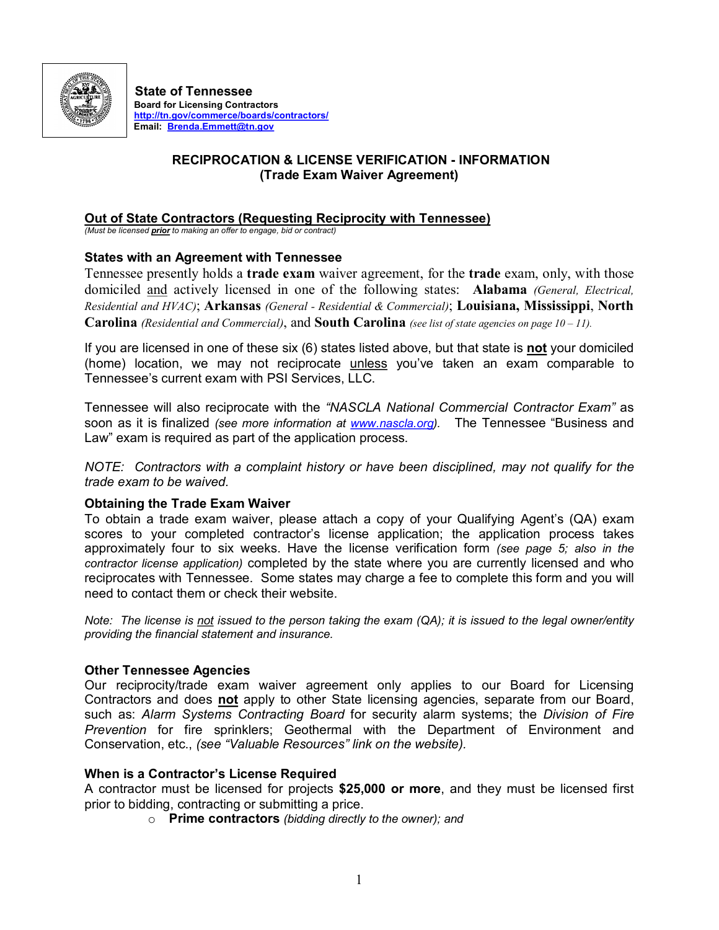

**State of Tennessee Website: Board for Licensing Contractors <http://tn.gov/commerce/boards/contractors/> Email: [Brenda.Emmett@tn.gov](mailto:Brenda.Emmett@tn.gov)**

# **RECIPROCATION & LICENSE VERIFICATION INFORMATION (Trade Exam Waiver Agreement)**

# **Out of State Contractors (Requesting Reciprocity with Tennessee)**

*(Must be licensed prior to making an offer to engage, bid or contract)*

## **States with an Agreement with Tennessee**

Tennessee presently holds a **trade exam** waiver agreement, for the **trade** exam, only, with those domiciled and actively licensed in one of the following states: **Alabama** *(General, Electrical, Residential and HVAC)*; **Arkansas** *(General Residential & Commercial)*; **Louisiana, Mississippi**, **North Carolina** *(Residential and Commercial)*, and **South Carolina** *(see list of state agencies on page 10 – 11).*

If you are licensed in one of these six (6) states listed above, but that state is **not** your domiciled (home) location, we may not reciprocate unless you've taken an exam comparable to Tennessee's current exam with PSI Services, LLC.

Tennessee will also reciprocate with the *"NASCLA National Commercial Contractor Exam"* as soon as it is finalized *(see more information at [www.nascla.org](http://www.nascla.org/)).* The Tennessee "Business and Law" exam is required as part of the application process.

*NOTE: Contractors with a complaint history or have been disciplined, may not qualify for the trade exam to be waived.*

## **Obtaining the Trade Exam Waiver**

To obtain a trade exam waiver, please attach a copy of your Qualifying Agent's (QA) exam scores to your completed contractor's license application; the application process takes approximately four to six weeks. Have the license verification form *(see page 5; also in the contractor license application)* completed by the state where you are currently licensed and who reciprocates with Tennessee. Some states may charge a fee to complete this form and you will need to contact them or check their website.

Note: The license is not issued to the person taking the exam (QA); it is issued to the legal owner/entity *providing the financial statement and insurance.*

# **Other Tennessee Agencies**

Our reciprocity/trade exam waiver agreement only applies to our Board for Licensing Contractors and does **not** apply to other State licensing agencies, separate from our Board, such as: *Alarm Systems Contracting Board* for security alarm systems; the *Division of Fire Prevention* for fire sprinklers; Geothermal with the Department of Environment and Conservation, etc., *(see "Valuable Resources" link on the website).*

## **When is a Contractor's License Required**

A contractor must be licensed for projects **\$25,000 or more**, and they must be licensed first prior to bidding, contracting or submitting a price.

o **Prime contractors** *(bidding directly to the owner); and*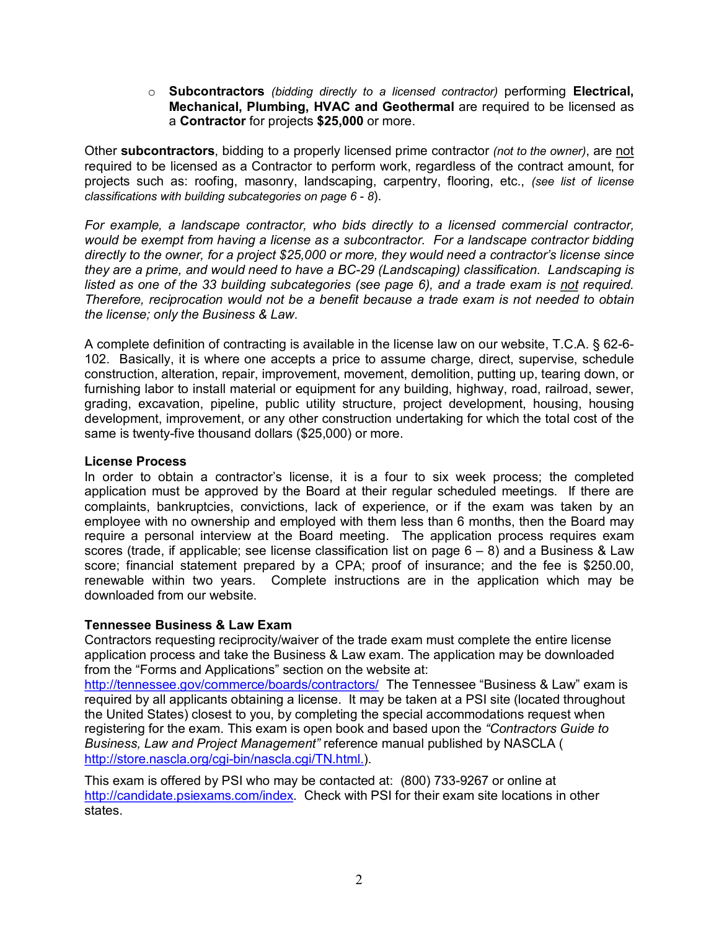o **Subcontractors** *(bidding directly to a licensed contractor)* performing **Electrical, Mechanical, Plumbing, HVAC and Geothermal** are required to be licensed as a **Contractor** for projects **\$25,000** or more.

Other **subcontractors**, bidding to a properly licensed prime contractor *(not to the owner)*, are not required to be licensed as a Contractor to perform work, regardless of the contract amount, for projects such as: roofing, masonry, landscaping, carpentry, flooring, etc., *(see list of license classifications with building subcategories on page 6 8*).

*For example, a landscape contractor, who bids directly to a licensed commercial contractor, would be exempt from having a license as a subcontractor. For a landscape contractor bidding directly to the owner, for a project \$25,000 or more, they would need a contractor's license since they are a prime, and would need to have a BC29 (Landscaping) classification. Landscaping is listed as one of the 33 building subcategories (see page 6), and a trade exam is not required. Therefore, reciprocation would not be a benefit because a trade exam is not needed to obtain the license; only the Business & Law.*

A complete definition of contracting is available in the license law on our website, T.C.A. § 62-6-102. Basically, it is where one accepts a price to assume charge, direct, supervise, schedule construction, alteration, repair, improvement, movement, demolition, putting up, tearing down, or furnishing labor to install material or equipment for any building, highway, road, railroad, sewer, grading, excavation, pipeline, public utility structure, project development, housing, housing development, improvement, or any other construction undertaking for which the total cost of the same is twenty-five thousand dollars (\$25,000) or more.

# **License Process**

In order to obtain a contractor's license, it is a four to six week process; the completed application must be approved by the Board at their regular scheduled meetings. If there are complaints, bankruptcies, convictions, lack of experience, or if the exam was taken by an employee with no ownership and employed with them less than 6 months, then the Board may require a personal interview at the Board meeting. The application process requires exam scores (trade, if applicable; see license classification list on page  $6 - 8$ ) and a Business & Law score; financial statement prepared by a CPA; proof of insurance; and the fee is \$250.00, renewable within two years. Complete instructions are in the application which may be downloaded from our website.

# **Tennessee Business & Law Exam**

Contractors requesting reciprocity/waiver of the trade exam must complete the entire license application process and take the Business & Law exam. The application may be downloaded from the "Forms and Applications" section on the website at:

<http://tennessee.gov/commerce/boards/contractors/> The Tennessee "Business & Law" exam is required by all applicants obtaining a license. It may be taken at a PSI site (located throughout the United States) closest to you, by completing the special accommodations request when registering for the exam. This exam is open book and based upon the *"Contractors Guide to Business, Law and Project Management"* reference manual published by NASCLA ( http://store.nascla.org/cgi-bin/nascla.cgi/TN.html.).

This exam is offered by PSI who may be contacted at: (800) 733-9267 or online at [http://candidate.psiexams.com/index.](http://candidate.psiexams.com/index) Check with PSI for their exam site locations in other states.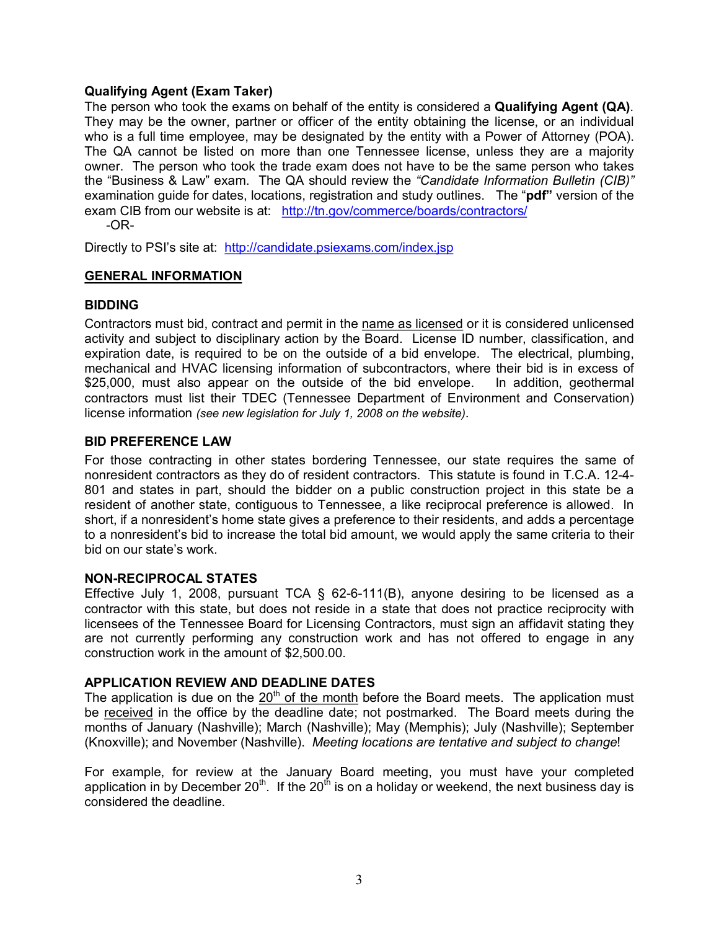# **Qualifying Agent (Exam Taker)**

The person who took the exams on behalf of the entity is considered a **Qualifying Agent (QA)**. They may be the owner, partner or officer of the entity obtaining the license, or an individual who is a full time employee, may be designated by the entity with a Power of Attorney (POA). The QA cannot be listed on more than one Tennessee license, unless they are a majority owner. The person who took the trade exam does not have to be the same person who takes the "Business & Law" exam. The QA should review the *"Candidate Information Bulletin (CIB)"* examination guide for dates, locations, registration and study outlines. The "**pdf"** version of the exam CIB from our website is at: <http://tn.gov/commerce/boards/contractors/>

OR-

Directly to PSI's site at: <http://candidate.psiexams.com/index.jsp>

# **GENERAL INFORMATION**

# **BIDDING**

Contractors must bid, contract and permit in the name as licensed or it is considered unlicensed activity and subject to disciplinary action by the Board. License ID number, classification, and expiration date, is required to be on the outside of a bid envelope. The electrical, plumbing, mechanical and HVAC licensing information of subcontractors, where their bid is in excess of \$25,000, must also appear on the outside of the bid envelope. In addition, geothermal contractors must list their TDEC (Tennessee Department of Environment and Conservation) license information *(see new legislation for July 1, 2008 on the website)*.

# **BID PREFERENCE LAW**

For those contracting in other states bordering Tennessee, our state requires the same of nonresident contractors as they do of resident contractors. This statute is found in T.C.A. 12-4-801 and states in part, should the bidder on a public construction project in this state be a resident of another state, contiguous to Tennessee, a like reciprocal preference is allowed. In short, if a nonresident's home state gives a preference to their residents, and adds a percentage to a nonresident's bid to increase the total bid amount, we would apply the same criteria to their bid on our state's work.

## **NON-RECIPROCAL STATES**

Effective July 1, 2008, pursuant  $TCA \S 62-6-111(B)$ , anyone desiring to be licensed as a contractor with this state, but does not reside in a state that does not practice reciprocity with licensees of the Tennessee Board for Licensing Contractors, must sign an affidavit stating they are not currently performing any construction work and has not offered to engage in any construction work in the amount of \$2,500.00.

## **APPLICATION REVIEW AND DEADLINE DATES**

The application is due on the 20<sup>th</sup> of the month before the Board meets. The application must be received in the office by the deadline date; not postmarked. The Board meets during the months of January (Nashville); March (Nashville); May (Memphis); July (Nashville); September (Knoxville); and November (Nashville). *Meeting locations are tentative and subject to change*!

For example, for review at the January Board meeting, you must have your completed application in by December 20<sup>th</sup>. If the 20<sup>th</sup> is on a holiday or weekend, the next business day is considered the deadline.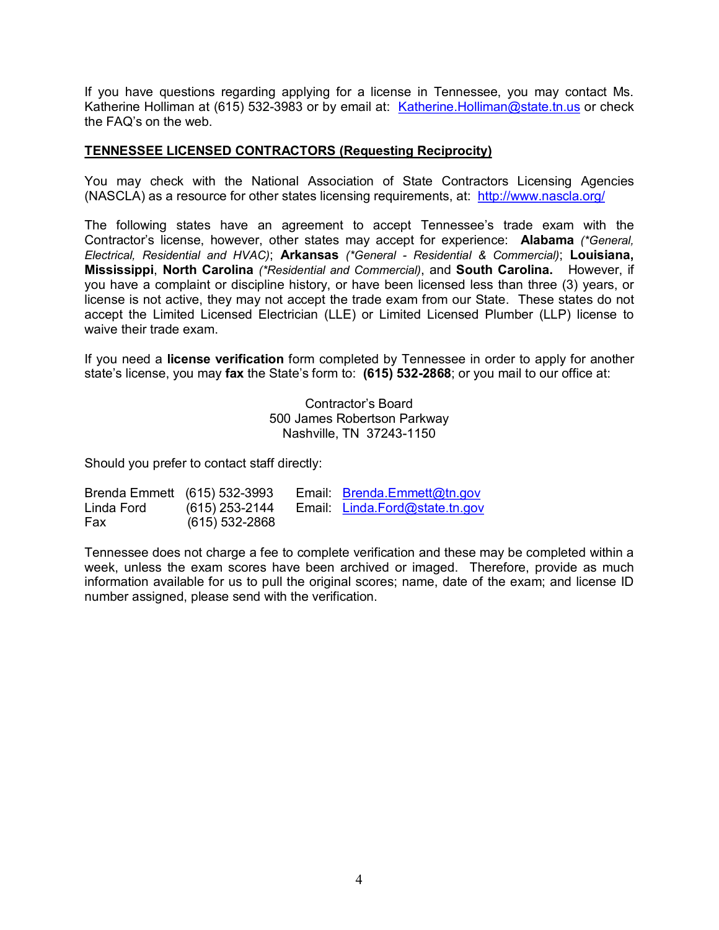If you have questions regarding applying for a license in Tennessee, you may contact Ms. Katherine Holliman at (615) 532-3983 or by email at: [Katherine.Holliman@state.tn.us](mailto:Katherine.Holliman@state.tn.us) or check the FAQ's on the web.

# **TENNESSEE LICENSED CONTRACTORS (Requesting Reciprocity)**

You may check with the National Association of State Contractors Licensing Agencies (NASCLA) as a resource for other states licensing requirements, at: <http://www.nascla.org/>

The following states have an agreement to accept Tennessee's trade exam with the Contractor's license, however, other states may accept for experience: **Alabama** *(\*General, Electrical, Residential and HVAC)*; **Arkansas** *(\*General Residential & Commercial)*; **Louisiana, Mississippi**, **North Carolina** *(\*Residential and Commercial)*, and **South Carolina.** However, if you have a complaint or discipline history, or have been licensed less than three (3) years, or license is not active, they may not accept the trade exam from our State. These states do not accept the Limited Licensed Electrician (LLE) or Limited Licensed Plumber (LLP) license to waive their trade exam.

If you need a **license verification** form completed by Tennessee in order to apply for another state's license, you may fax the State's form to: (615) 532-2868; or you mail to our office at:

> Contractor's Board 500 James Robertson Parkway Nashville, TN 37243-1150

Should you prefer to contact staff directly:

| Brenda Emmett (615) 532-3993 |                | Email: Brenda.Emmett@tn.gov    |
|------------------------------|----------------|--------------------------------|
| Linda Ford                   | (615) 253-2144 | Email: Linda.Ford@state.tn.gov |
| Fax                          | (615) 532-2868 |                                |

Tennessee does not charge a fee to complete verification and these may be completed within a week, unless the exam scores have been archived or imaged. Therefore, provide as much information available for us to pull the original scores; name, date of the exam; and license ID number assigned, please send with the verification.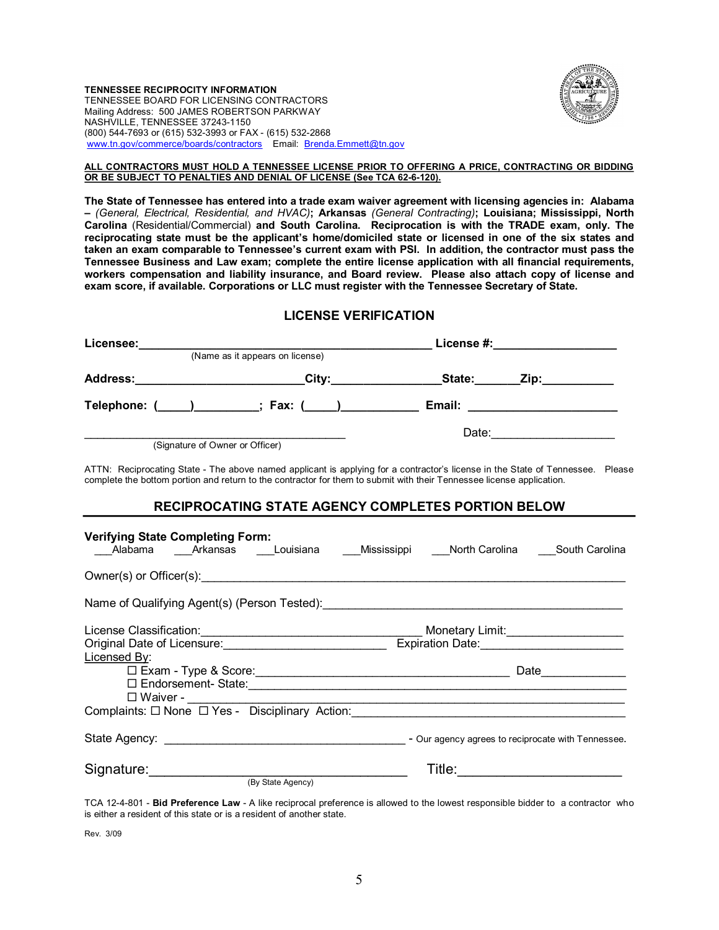#### **TENNESSEE RECIPROCITY INFORMATION** TENNESSEE BOARD FOR LICENSING CONTRACTORS Mailing Address: 500 JAMES ROBERTSON PARKWAY NASHVILLE, TENNESSEE 37243-1150 (800) 544-7693 or (615) 532-3993 or FAX - (615) 532-2868 [www.tn.gov/commerce/boards/contractors](http://www.tn.gov/commerce/boards/contractors) Email: [Brenda.Emmett@tn.gov](mailto:Brenda.Emmett@tn.gov)



### **ALL CONTRACTORS MUST HOLD A TENNESSEE LICENSE PRIOR TO OFFERING A PRICE, CONTRACTING OR BIDDING OR BE SUBJECT TO PENALTIES AND DENIAL OF LICENSE (See TCA 62-6-120).**

**The State of Tennessee has entered into a trade exam waiver agreement with licensing agencies in: Alabama –** *(General, Electrical, Residential, and HVAC)***; Arkansas** *(General Contracting)***; Louisiana; Mississippi, North Carolina** (Residential/Commercial) **and South Carolina. Reciprocation is with the TRADE exam, only. The reciprocating state must be the applicant's home/domiciled state or licensed in one of the six states and taken an exam comparable to Tennessee's current exam with PSI. In addition, the contractor must pass the Tennessee Business and Law exam; complete the entire license application with all financial requirements, workers compensation and liability insurance, and Board review. Please also attach copy of license and exam score, if available. Corporations or LLC must register with the Tennessee Secretary of State.**

## **LICENSE VERIFICATION**

| Licensee:                                                       |                                                       | License #:____________________ |                   |  |
|-----------------------------------------------------------------|-------------------------------------------------------|--------------------------------|-------------------|--|
|                                                                 | (Name as it appears on license)                       |                                |                   |  |
| <b>Address:</b><br><u> 1980 - Jan Barnett, fransk politik (</u> | City:____________                                     | State:                         | _Zip:____________ |  |
|                                                                 | Telephone: (_____)__________; Fax: (____)____________ |                                |                   |  |
|                                                                 |                                                       | Date:                          |                   |  |
| (Signature of Owner or Officer)                                 |                                                       |                                |                   |  |

ATTN: Reciprocating State - The above named applicant is applying for a contractor's license in the State of Tennessee. Please complete the bottom portion and return to the contractor for them to submit with their Tennessee license application.

## **RECIPROCATING STATE AGENCY COMPLETES PORTION BELOW**

| <b>Verifying State Completing Form:</b><br>Alabama Arkansas Louisiana Mississippi North Carolina South Carolina                                                                                                                      |                           |  |  |  |  |
|--------------------------------------------------------------------------------------------------------------------------------------------------------------------------------------------------------------------------------------|---------------------------|--|--|--|--|
|                                                                                                                                                                                                                                      |                           |  |  |  |  |
| Name of Qualifying Agent(s) (Person Tested): <b>Manual Accord Contract Control Control Control Control Control Control Control Control Control Control Control Control Control Control Control Control Control Control Control C</b> |                           |  |  |  |  |
| Licensed By:                                                                                                                                                                                                                         |                           |  |  |  |  |
| □ Waiver - <u>___________</u>                                                                                                                                                                                                        |                           |  |  |  |  |
|                                                                                                                                                                                                                                      |                           |  |  |  |  |
|                                                                                                                                                                                                                                      |                           |  |  |  |  |
| Signature: Signature:<br>(By State Agency)                                                                                                                                                                                           | Title: __________________ |  |  |  |  |

TCA 124801 **Bid Preference Law** A like reciprocal preference is allowed to the lowest responsible bidder to a contractor who is either a resident of this state or is a resident of another state.

Rev. 3/09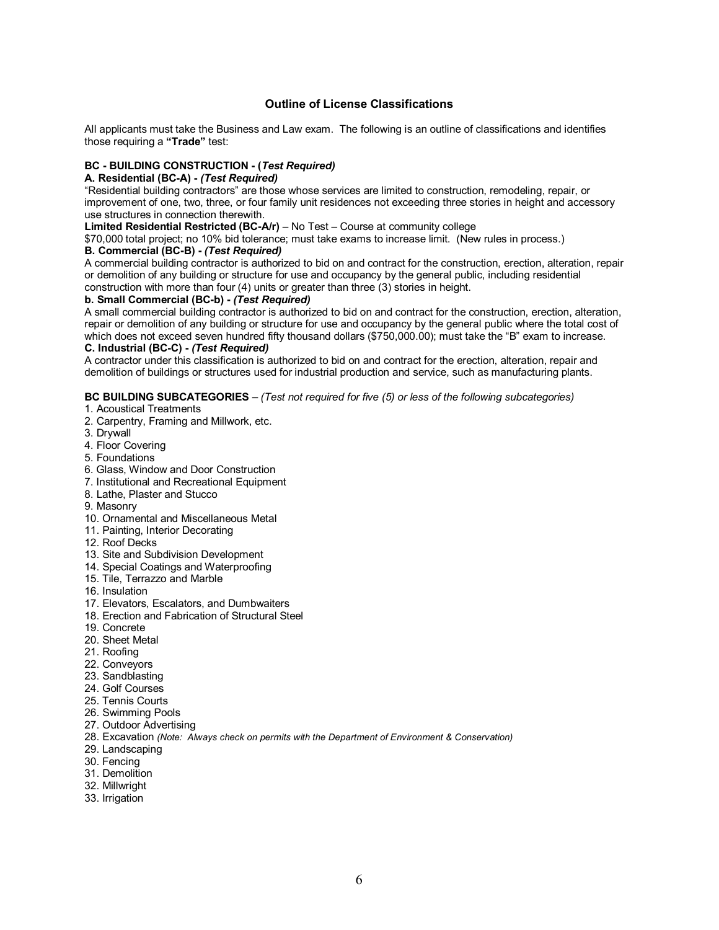## **Outline of License Classifications**

All applicants must take the Business and Law exam. The following is an outline of classifications and identifies those requiring a **"Trade"** test:

### **BC BUILDING CONSTRUCTION (***Test Required)*

### **A. Residential (BCA)** *(Test Required)*

"Residential building contractors" are those whose services are limited to construction, remodeling, repair, or improvement of one, two, three, or four family unit residences not exceeding three stories in height and accessory use structures in connection therewith.

**Limited Residential Restricted (BCA/r)** – No Test – Course at community college

\$70,000 total project; no 10% bid tolerance; must take exams to increase limit. (New rules in process.) **B.** Commercial (BC-B) - (Test Required)

A commercial building contractor is authorized to bid on and contract for the construction, erection, alteration, repair or demolition of any building or structure for use and occupancy by the general public, including residential construction with more than four (4) units or greater than three (3) stories in height.

### **b. Small Commercial (BC-b) - (Test Required)**

A small commercial building contractor is authorized to bid on and contract for the construction, erection, alteration, repair or demolition of any building or structure for use and occupancy by the general public where the total cost of which does not exceed seven hundred fifty thousand dollars (\$750,000.00); must take the "B" exam to increase. **C. Industrial (BCC)** *(Test Required)*

A contractor under this classification is authorized to bid on and contract for the erection, alteration, repair and demolition of buildings or structures used for industrial production and service, such as manufacturing plants.

**BC BUILDING SUBCATEGORIES** – *(Test not required for five (5) or less of the following subcategories)*

- 1. Acoustical Treatments
- 2. Carpentry, Framing and Millwork, etc.
- 3. Drywall
- 4. Floor Covering
- 5. Foundations
- 6. Glass, Window and Door Construction
- 7. Institutional and Recreational Equipment
- 8. Lathe, Plaster and Stucco
- 9. Masonry
- 10. Ornamental and Miscellaneous Metal
- 11. Painting, Interior Decorating
- 12. Roof Decks
- 13. Site and Subdivision Development
- 14. Special Coatings and Waterproofing
- 15. Tile, Terrazzo and Marble
- 16. Insulation
- 17. Elevators, Escalators, and Dumbwaiters
- 18. Erection and Fabrication of Structural Steel
- 19. Concrete
- 20. Sheet Metal
- 21. Roofing
- 22. Conveyors
- 23. Sandblasting
- 24. Golf Courses
- 25. Tennis Courts
- 26. Swimming Pools
- 27. Outdoor Advertising
- 28. Excavation *(Note: Always check on permits with the Department of Environment & Conservation)*
- 29. Landscaping
- 30. Fencing
- 31. Demolition
- 32. Millwright
- 33. Irrigation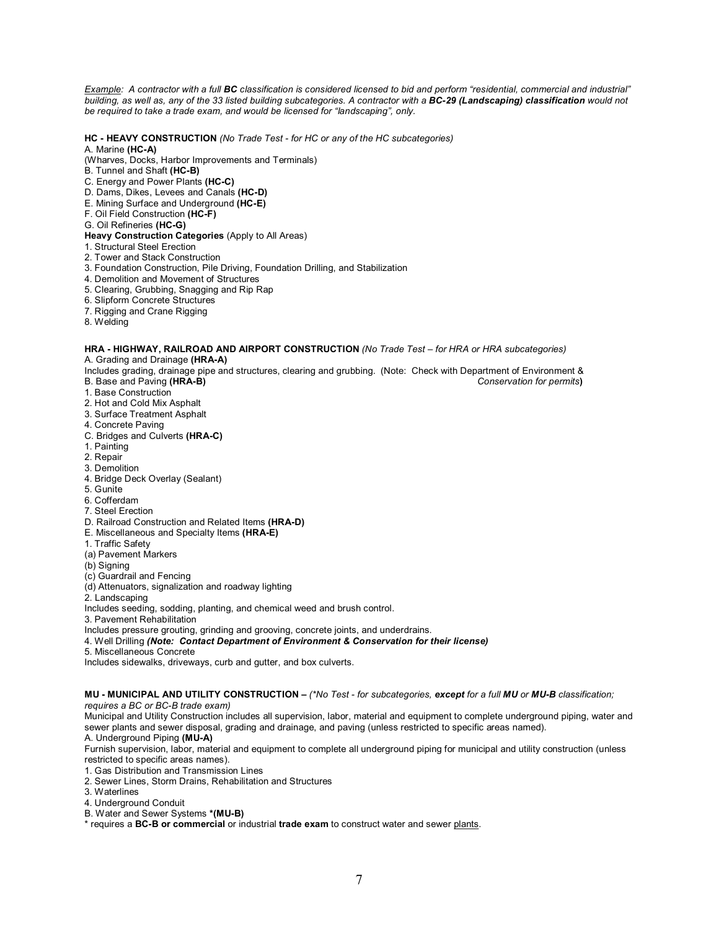*Example: A contractor with a full BC classification is considered licensed to bid and perform "residential, commercial and industrial" building, as well as, any of the 33 listed building subcategories. A contractor with a BC29 (Landscaping) classification would not be required to take a trade exam, and would be licensed for "landscaping", only.*

### **HC HEAVY CONSTRUCTION** *(No Trade Test for HC or any of the HC subcategories)*

#### A. Marine (HC-A)

(Wharves, Docks, Harbor Improvements and Terminals)

- B. Tunnel and Shaft (HC-B)
- C. Energy and Power Plants **(HCC)**
- D. Dams, Dikes, Levees and Canals **(HCD)**
- E. Mining Surface and Underground **(HCE)**
- F. Oil Field Construction **(HCF)**
- G. Oil Refineries **(HCG)**

### **Heavy Construction Categories** (Apply to All Areas)

- 1. Structural Steel Erection
- 2. Tower and Stack Construction
- 3. Foundation Construction, Pile Driving, Foundation Drilling, and Stabilization
- 4. Demolition and Movement of Structures
- 5. Clearing, Grubbing, Snagging and Rip Rap
- 6. Slipform Concrete Structures
- 7. Rigging and Crane Rigging
- 8. Welding

#### **HRA HIGHWAY, RAILROAD AND AIRPORT CONSTRUCTION** *(No Trade Test – for HRA or HRA subcategories)* A. Grading and Drainage (HRA-A)

Includes grading, drainage pipe and structures, clearing and grubbing. (Note: Check with Department of Environment &<br>B. Base and Paving (HRA-B) Conservation for permits B. Base and Paving **(HRAB)** *Conservation for permits***)**

- 1. Base Construction
- 2. Hot and Cold Mix Asphalt
- 3. Surface Treatment Asphalt
- 4. Concrete Paving
- C. Bridges and Culverts **(HRAC)**
- 1. Painting
- 2. Repair
- 3. Demolition
- 4. Bridge Deck Overlay (Sealant)
- 5. Gunite
- 6. Cofferdam
- 7. Steel Erection
- D. Railroad Construction and Related Items **(HRAD)**
- E. Miscellaneous and Specialty Items **(HRAE)**
- 1. Traffic Safety
- (a) Pavement Markers
- (b) Signing
- (c) Guardrail and Fencing
- (d) Attenuators, signalization and roadway lighting

2. Landscaping

Includes seeding, sodding, planting, and chemical weed and brush control.

3. Pavement Rehabilitation

Includes pressure grouting, grinding and grooving, concrete joints, and underdrains.

- 4. Well Drilling *(Note: Contact Department of Environment & Conservation for their license)*
- 5. Miscellaneous Concrete

Includes sidewalks, driveways, curb and gutter, and box culverts.

# **MU MUNICIPAL AND UTILITY CONSTRUCTION –** *(\*No Test for subcategories, except for a full MU or MUB classification;*

*requires a BC or BC-B trade exam)* 

Municipal and Utility Construction includes all supervision, labor, material and equipment to complete underground piping, water and sewer plants and sewer disposal, grading and drainage, and paving (unless restricted to specific areas named).

A. Underground Piping **(MUA)**

Furnish supervision, labor, material and equipment to complete all underground piping for municipal and utility construction (unless restricted to specific areas names).

1. Gas Distribution and Transmission Lines

- 2. Sewer Lines, Storm Drains, Rehabilitation and Structures
- 3. Waterlines
- 4. Underground Conduit
- B. Water and Sewer Systems **\*(MUB)**
- \* requires a **BCB or commercial** or industrial **trade exam** to construct water and sewer plants.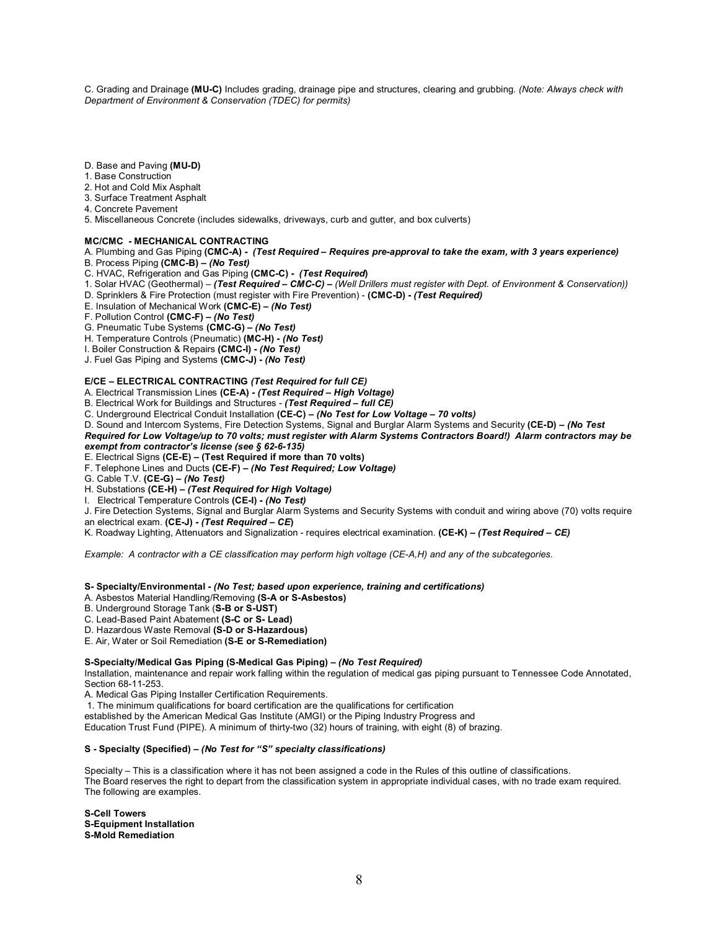C. Grading and Drainage **(MUC)** Includes grading, drainage pipe and structures, clearing and grubbing. *(Note: Always check with Department of Environment & Conservation (TDEC) for permits)*

- D. Base and Paving **(MUD)**
- 1. Base Construction
- 2. Hot and Cold Mix Asphalt
- 3. Surface Treatment Asphalt
- 4. Concrete Pavement
- 5. Miscellaneous Concrete (includes sidewalks, driveways, curb and gutter, and box culverts)

### **MC/CMC MECHANICAL CONTRACTING**

A. Plumbing and Gas Piping **(CMCA)**  *(Test Required – Requires preapproval to take the exam, with 3 years experience)* B. Process Piping **(CMCB) –** *(No Test)*

C. HVAC, Refrigeration and Gas Piping **(CMCC)**  *(Test Required***)**

- 1. Solar HVAC (Geothermal) – *(Test Required – CMCC) – (Well Drillers must register with Dept. of Environment & Conservation))*
- D. Sprinklers & Fire Protection (must register with Fire Prevention) **(CMCD)**  *(Test Required)*
- E. Insulation of Mechanical Work **(CMCE) –** *(No Test)*
- F. Pollution Control **(CMCF) –** *(No Test)*

G. Pneumatic Tube Systems **(CMCG) –** *(No Test)*

- H. Temperature Controls (Pneumatic) **(MCH)**  *(No Test)*
- I. Boiler Construction & Repairs **(CMCI)**  *(No Test)*
- J. Fuel Gas Piping and Systems **(CMCJ)**  *(No Test)*

### **E/CE – ELECTRICAL CONTRACTING** *(Test Required for full CE)*

A. Electrical Transmission Lines **(CEA)**  *(Test Required – High Voltage)*

B. Electrical Work for Buildings and Structures  *(Test Required – full CE)*

- C. Underground Electrical Conduit Installation **(CEC) –** *(No Test for Low Voltage – 70 volts)*
- D. Sound and Intercom Systems, Fire Detection Systems, Signal and Burglar Alarm Systems and Security **(CED)** *– (No Test*

*Required for Low Voltage/up to 70 volts; must register with Alarm Systems Contractors Board!) Alarm contractors may be exempt from contractor's license (see § 62-6-135)* 

E. Electrical Signs **(CEE) – (Test Required if more than 70 volts)**

- F. Telephone Lines and Ducts **(CEF) –** *(No Test Required; Low Voltage)*
- G. Cable T.V. **(CEG) –** *(No Test)*
- H. Substations **(CEH) –** *(Test Required for High Voltage)*
- I. Electrical Temperature Controls **(CEI)**  *(No Test)*
- J. Fire Detection Systems, Signal and Burglar Alarm Systems and Security Systems with conduit and wiring above (70) volts require
- an electrical exam. **(CEJ)**  *(Test Required CE***)**
- K. Roadway Lighting, Attenuators and Signalization requires electrical examination. **(CE-K)** *(Test Required CE)*

*Example: A contractor with a CE classification may perform high voltage (CEA,H) and any of the subcategories.*

**S Specialty/Environmental**  *(No Test; based upon experience, training and certifications)*

A. Asbestos Material Handling/Removing (S-A or S-Asbestos)

B. Underground Storage Tank (S-B or S-UST)

C. Lead-Based Paint Abatement (S-C or S- Lead)

D. Hazardous Waste Removal **(S-D or S-Hazardous)** 

E. Air, Water or Soil Remediation (S-E or S-Remediation)

#### S-Specialty/Medical Gas Piping (S-Medical Gas Piping) – *(No Test Required)*

Installation, maintenance and repair work falling within the regulation of medical gas piping pursuant to Tennessee Code Annotated, Section 68-11-253.

A. Medical Gas Piping Installer Certification Requirements.

1. The minimum qualifications for board certification are the qualifications for certification

established by the American Medical Gas Institute (AMGI) or the Piping Industry Progress and

Education Trust Fund (PIPE). A minimum of thirty-two (32) hours of training, with eight (8) of brazing.

### **S Specialty (Specified) –** *(No Test for "S" specialty classifications)*

Specialty – This is a classification where it has not been assigned a code in the Rules of this outline of classifications. The Board reserves the right to depart from the classification system in appropriate individual cases, with no trade exam required. The following are examples.

**S-Cell Towers SEquipment Installation S-Mold Remediation**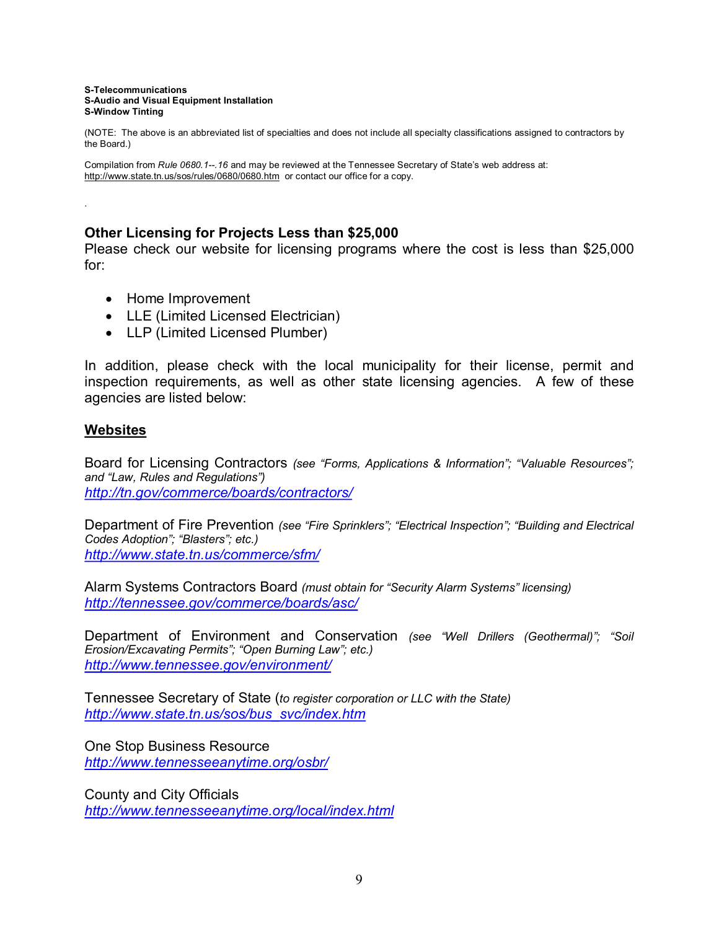#### **STelecommunications SAudio and Visual Equipment Installation S-Window Tinting**

(NOTE: The above is an abbreviated list of specialties and does not include all specialty classifications assigned to contractors by the Board.)

Compilation from Rule 0680.1--. 16 and may be reviewed at the Tennessee Secretary of State's web address at: http://www.state.tn.us/sos/rules/0680/0680.htm or contact our office for a copy.

# **Other Licensing for Projects Less than \$25,000**

Please check our website for licensing programs where the cost is less than \$25,000 for:

- · Home Improvement
- LLE (Limited Licensed Electrician)
- LLP (Limited Licensed Plumber)

In addition, please check with the local municipality for their license, permit and inspection requirements, as well as other state licensing agencies. A few of these agencies are listed below:

# **Websites**

.

Board for Licensing Contractors *(see "Forms, Applications & Information"; "Valuable Resources"; and "Law, Rules and Regulations") <http://tn.gov/commerce/boards/contractors/>*

Department of Fire Prevention *(see "Fire Sprinklers"; "Electrical Inspection"; "Building and Electrical Codes Adoption"; "Blasters"; etc.) <http://www.state.tn.us/commerce/sfm/>*

Alarm Systems Contractors Board *(must obtain for "Security Alarm Systems" licensing) <http://tennessee.gov/commerce/boards/asc/>*

Department of Environment and Conservation *(see "Well Drillers (Geothermal)"; "Soil Erosion/Excavating Permits"; "Open Burning Law"; etc.) <http://www.tennessee.gov/environment/>*

Tennessee Secretary of State (*to register corporation or LLC with the State) [http://www.state.tn.us/sos/bus\\_svc/index.htm](http://www.state.tn.us/sos/bus_svc/index.htm)*

One Stop Business Resource *<http://www.tennesseeanytime.org/osbr/>*

County and City Officials *<http://www.tennesseeanytime.org/local/index.html>*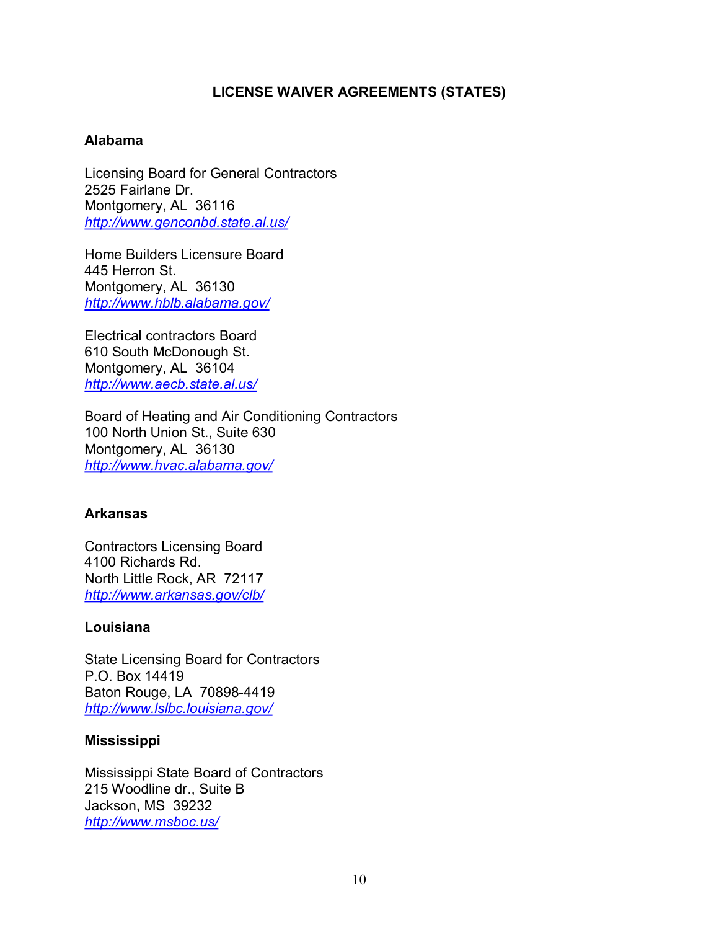# **LICENSE WAIVER AGREEMENTS (STATES)**

# **Alabama**

Licensing Board for General Contractors 2525 Fairlane Dr. Montgomery, AL 36116 *<http://www.genconbd.state.al.us/>*

Home Builders Licensure Board 445 Herron St. Montgomery, AL 36130 *<http://www.hblb.alabama.gov/>*

Electrical contractors Board 610 South McDonough St. Montgomery, AL 36104 *<http://www.aecb.state.al.us/>*

Board of Heating and Air Conditioning Contractors 100 North Union St., Suite 630 Montgomery, AL 36130 *<http://www.hvac.alabama.gov/>*

# **Arkansas**

Contractors Licensing Board 4100 Richards Rd. North Little Rock, AR 72117 *<http://www.arkansas.gov/clb/>*

# **Louisiana**

State Licensing Board for Contractors P.O. Box 14419 Baton Rouge, LA 708984419 *<http://www.lslbc.louisiana.gov/>*

# **Mississippi**

Mississippi State Board of Contractors 215 Woodline dr., Suite B Jackson, MS 39232 *<http://www.msboc.us/>*